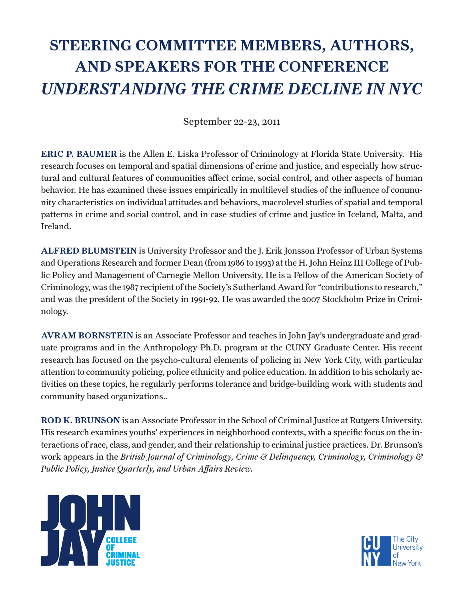## STEERING COMMITTEE MEMBERS, AUTHORS, AND SPEAKERS FOR THE CONFERENCE *UNDERSTANDING THE CRIME DECLINE IN NYC*

September 22-23, 2011

ERIC P. BAUMER is the Allen E. Liska Professor of Criminology at Florida State University. His research focuses on temporal and spatial dimensions of crime and justice, and especially how structural and cultural features of communities affect crime, social control, and other aspects of human behavior. He has examined these issues empirically in multilevel studies of the influence of community characteristics on individual attitudes and behaviors, macrolevel studies of spatial and temporal patterns in crime and social control, and in case studies of crime and justice in Iceland, Malta, and Ireland.

ALFRED BLUMSTEIN is University Professor and the J. Erik Jonsson Professor of Urban Systems and Operations Research and former Dean (from 1986 to 1993) at the H. John Heinz III College of Public Policy and Management of Carnegie Mellon University. He is a Fellow of the American Society of Criminology, was the 1987 recipient of the Society's Sutherland Award for "contributions to research," and was the president of the Society in 1991-92. He was awarded the 2007 Stockholm Prize in Criminology.

AVRAM BORNSTEIN is an Associate Professor and teaches in John Jay's undergraduate and graduate programs and in the Anthropology Ph.D. program at the CUNY Graduate Center. His recent research has focused on the psycho-cultural elements of policing in New York City, with particular attention to community policing, police ethnicity and police education. In addition to his scholarly activities on these topics, he regularly performs tolerance and bridge-building work with students and community based organizations..

ROD K. BRUNSON is an Associate Professor in the School of Criminal Justice at Rutgers University. His research examines youths' experiences in neighborhood contexts, with a specific focus on the interactions of race, class, and gender, and their relationship to criminal justice practices. Dr. Brunson's work appears in the *British Journal of Criminology, Crime & Delinquency, Criminology, Criminology & Public Policy, Justice Quarterly, and Urban Affairs Review.*



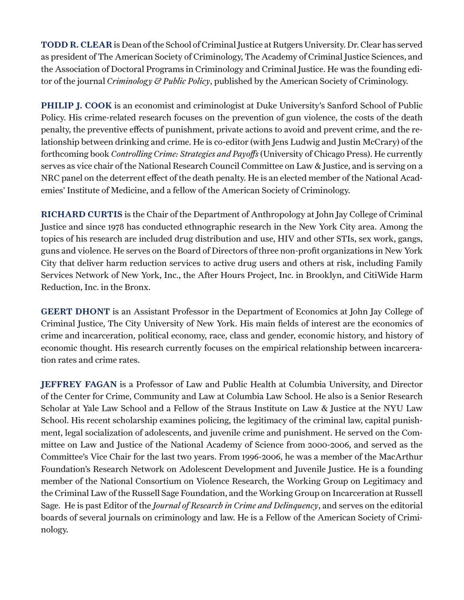TODD R. CLEAR is Dean of the School of Criminal Justice at Rutgers University. Dr. Clear has served as president of The American Society of Criminology, The Academy of Criminal Justice Sciences, and the Association of Doctoral Programs in Criminology and Criminal Justice. He was the founding editor of the journal *Criminology & Public Policy*, published by the American Society of Criminology.

PHILIP J. COOK is an economist and criminologist at Duke University's Sanford School of Public Policy. His crime-related research focuses on the prevention of gun violence, the costs of the death penalty, the preventive effects of punishment, private actions to avoid and prevent crime, and the relationship between drinking and crime. He is co-editor (with Jens Ludwig and Justin McCrary) of the forthcoming book *Controlling Crime: Strategies and Payoffs* (University of Chicago Press). He currently serves as vice chair of the National Research Council Committee on Law & Justice, and is serving on a NRC panel on the deterrent effect of the death penalty. He is an elected member of the National Academies' Institute of Medicine, and a fellow of the American Society of Criminology.

RICHARD CURTIS is the Chair of the Department of Anthropology at John Jay College of Criminal Justice and since 1978 has conducted ethnographic research in the New York City area. Among the topics of his research are included drug distribution and use, HIV and other STIs, sex work, gangs, guns and violence. He serves on the Board of Directors of three non-profit organizations in New York City that deliver harm reduction services to active drug users and others at risk, including Family Services Network of New York, Inc., the After Hours Project, Inc. in Brooklyn, and CitiWide Harm Reduction, Inc. in the Bronx.

GEERT DHONT is an Assistant Professor in the Department of Economics at John Jay College of Criminal Justice, The City University of New York. His main fields of interest are the economics of crime and incarceration, political economy, race, class and gender, economic history, and history of economic thought. His research currently focuses on the empirical relationship between incarceration rates and crime rates.

JEFFREY FAGAN is a Professor of Law and Public Health at Columbia University, and Director of the Center for Crime, Community and Law at Columbia Law School. He also is a Senior Research Scholar at Yale Law School and a Fellow of the Straus Institute on Law & Justice at the NYU Law School. His recent scholarship examines policing, the legitimacy of the criminal law, capital punishment, legal socialization of adolescents, and juvenile crime and punishment. He served on the Committee on Law and Justice of the National Academy of Science from 2000-2006, and served as the Committee's Vice Chair for the last two years. From 1996-2006, he was a member of the MacArthur Foundation's Research Network on Adolescent Development and Juvenile Justice. He is a founding member of the National Consortium on Violence Research, the Working Group on Legitimacy and the Criminal Law of the Russell Sage Foundation, and the Working Group on Incarceration at Russell Sage. He is past Editor of the *Journal of Research in Crime and Delinquency*, and serves on the editorial boards of several journals on criminology and law. He is a Fellow of the American Society of Criminology.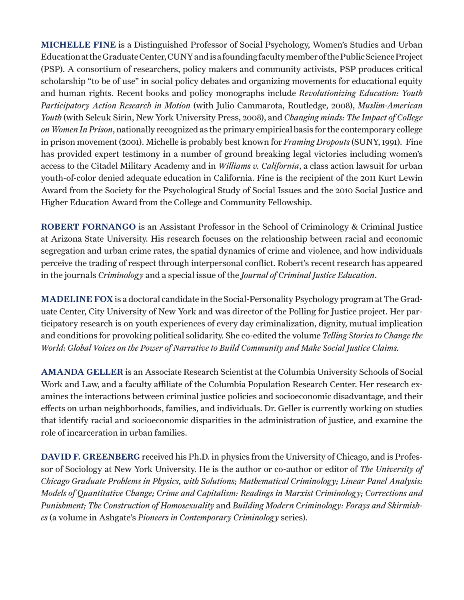MICHELLE FINE is a Distinguished Professor of Social Psychology, Women's Studies and Urban Education at the Graduate Center, CUNY and is a founding faculty member of the Public Science Project (PSP). A consortium of researchers, policy makers and community activists, PSP produces critical scholarship "to be of use" in social policy debates and organizing movements for educational equity and human rights. Recent books and policy monographs include *Revolutionizing Education: Youth Participatory Action Research in Motion* (with Julio Cammarota, Routledge, 2008), *Muslim-American Youth* (with Selcuk Sirin, New York University Press, 2008), and *Changing minds: The Impact of College on Women In Prison*, nationally recognized as the primary empirical basis for the contemporary college in prison movement (2001). Michelle is probably best known for *Framing Dropouts* (SUNY, 1991). Fine has provided expert testimony in a number of ground breaking legal victories including women's access to the Citadel Military Academy and in *Williams v. California*, a class action lawsuit for urban youth-of-color denied adequate education in California. Fine is the recipient of the 2011 Kurt Lewin Award from the Society for the Psychological Study of Social Issues and the 2010 Social Justice and Higher Education Award from the College and Community Fellowship.

ROBERT FORNANGO is an Assistant Professor in the School of Criminology & Criminal Justice at Arizona State University. His research focuses on the relationship between racial and economic segregation and urban crime rates, the spatial dynamics of crime and violence, and how individuals perceive the trading of respect through interpersonal conflict. Robert's recent research has appeared in the journals *Criminology* and a special issue of the *Journal of Criminal Justice Education*.

MADELINE FOX is a doctoral candidate in the Social-Personality Psychology program at The Graduate Center, City University of New York and was director of the Polling for Justice project. Her participatory research is on youth experiences of every day criminalization, dignity, mutual implication and conditions for provoking political solidarity. She co-edited the volume *Telling Stories to Change the World: Global Voices on the Power of Narrative to Build Community and Make Social Justice Claims.*

AMANDA GELLER is an Associate Research Scientist at the Columbia University Schools of Social Work and Law, and a faculty affiliate of the Columbia Population Research Center. Her research examines the interactions between criminal justice policies and socioeconomic disadvantage, and their effects on urban neighborhoods, families, and individuals. Dr. Geller is currently working on studies that identify racial and socioeconomic disparities in the administration of justice, and examine the role of incarceration in urban families.

DAVID F. GREENBERG received his Ph.D. in physics from the University of Chicago, and is Professor of Sociology at New York University. He is the author or co-author or editor of *The University of Chicago Graduate Problems in Physics, with Solutions; Mathematical Criminology; Linear Panel Analysis: Models of Quantitative Change; Crime and Capitalism: Readings in Marxist Criminology; Corrections and Punishment; The Construction of Homosexuality* and *Building Modern Criminology: Forays and Skirmishes* (a volume in Ashgate's *Pioneers in Contemporary Criminology* series).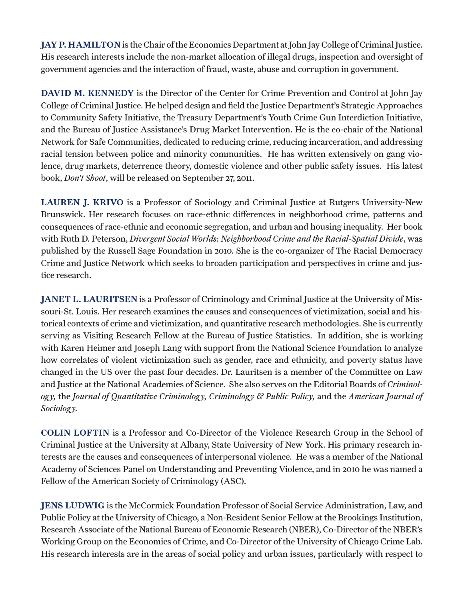JAY P. HAMILTON is the Chair of the Economics Department at John Jay College of Criminal Justice. His research interests include the non-market allocation of illegal drugs, inspection and oversight of government agencies and the interaction of fraud, waste, abuse and corruption in government.

DAVID M. KENNEDY is the Director of the Center for Crime Prevention and Control at John Jay College of Criminal Justice. He helped design and field the Justice Department's Strategic Approaches to Community Safety Initiative, the Treasury Department's Youth Crime Gun Interdiction Initiative, and the Bureau of Justice Assistance's Drug Market Intervention. He is the co-chair of the National Network for Safe Communities, dedicated to reducing crime, reducing incarceration, and addressing racial tension between police and minority communities. He has written extensively on gang violence, drug markets, deterrence theory, domestic violence and other public safety issues. His latest book, *Don't Shoot*, will be released on September 27, 2011.

LAUREN J. KRIVO is a Professor of Sociology and Criminal Justice at Rutgers University-New Brunswick. Her research focuses on race-ethnic differences in neighborhood crime, patterns and consequences of race-ethnic and economic segregation, and urban and housing inequality. Her book with Ruth D. Peterson, *Divergent Social Worlds: Neighborhood Crime and the Racial-Spatial Divide*, was published by the Russell Sage Foundation in 2010. She is the co-organizer of The Racial Democracy Crime and Justice Network which seeks to broaden participation and perspectives in crime and justice research.

JANET L. LAURITSEN is a Professor of Criminology and Criminal Justice at the University of Missouri-St. Louis. Her research examines the causes and consequences of victimization, social and historical contexts of crime and victimization, and quantitative research methodologies. She is currently serving as Visiting Research Fellow at the Bureau of Justice Statistics. In addition, she is working with Karen Heimer and Joseph Lang with support from the National Science Foundation to analyze how correlates of violent victimization such as gender, race and ethnicity, and poverty status have changed in the US over the past four decades. Dr. Lauritsen is a member of the Committee on Law and Justice at the National Academies of Science. She also serves on the Editorial Boards of *Criminology,* the *Journal of Quantitative Criminology, Criminology & Public Policy,* and the *American Journal of Sociology.*

COLIN LOFTIN is a Professor and Co-Director of the Violence Research Group in the School of Criminal Justice at the University at Albany, State University of New York. His primary research interests are the causes and consequences of interpersonal violence. He was a member of the National Academy of Sciences Panel on Understanding and Preventing Violence, and in 2010 he was named a Fellow of the American Society of Criminology (ASC).

JENS LUDWIG is the McCormick Foundation Professor of Social Service Administration, Law, and Public Policy at the University of Chicago, a Non-Resident Senior Fellow at the Brookings Institution, Research Associate of the National Bureau of Economic Research (NBER), Co-Director of the NBER's Working Group on the Economics of Crime, and Co-Director of the University of Chicago Crime Lab. His research interests are in the areas of social policy and urban issues, particularly with respect to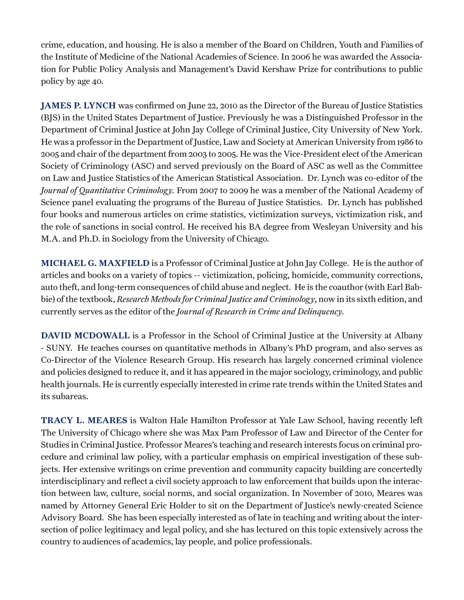crime, education, and housing. He is also a member of the Board on Children, Youth and Families of the Institute of Medicine of the National Academies of Science. In 2006 he was awarded the Association for Public Policy Analysis and Management's David Kershaw Prize for contributions to public policy by age 40.

JAMES P. LYNCH was confirmed on June 22, 2010 as the Director of the Bureau of Justice Statistics (BJS) in the United States Department of Justice. Previously he was a Distinguished Professor in the Department of Criminal Justice at John Jay College of Criminal Justice, City University of New York. He was a professor in the Department of Justice, Law and Society at American University from 1986 to 2005 and chair of the department from 2003 to 2005. He was the Vice-President elect of the American Society of Criminology (ASC) and served previously on the Board of ASC as well as the Committee on Law and Justice Statistics of the American Statistical Association. Dr. Lynch was co-editor of the *Journal of Quantitative Criminology.* From 2007 to 2009 he was a member of the National Academy of Science panel evaluating the programs of the Bureau of Justice Statistics. Dr. Lynch has published four books and numerous articles on crime statistics, victimization surveys, victimization risk, and the role of sanctions in social control. He received his BA degree from Wesleyan University and his M.A. and Ph.D. in Sociology from the University of Chicago.

MICHAEL G. MAXFIELD is a Professor of Criminal Justice at John Jay College. He is the author of articles and books on a variety of topics -- victimization, policing, homicide, community corrections, auto theft, and long-term consequences of child abuse and neglect. He is the coauthor (with Earl Babbie) of the textbook, *Research Methods for Criminal Justice and Criminology*, now in its sixth edition, and currently serves as the editor of the *Journal of Research in Crime and Delinquency.*

DAVID MCDOWALL is a Professor in the School of Criminal Justice at the University at Albany - SUNY. He teaches courses on quantitative methods in Albany's PhD program, and also serves as Co-Director of the Violence Research Group. His research has largely concerned criminal violence and policies designed to reduce it, and it has appeared in the major sociology, criminology, and public health journals. He is currently especially interested in crime rate trends within the United States and its subareas.

TRACY L. MEARES is Walton Hale Hamilton Professor at Yale Law School, having recently left The University of Chicago where she was Max Pam Professor of Law and Director of the Center for Studies in Criminal Justice. Professor Meares's teaching and research interests focus on criminal procedure and criminal law policy, with a particular emphasis on empirical investigation of these subjects. Her extensive writings on crime prevention and community capacity building are concertedly interdisciplinary and reflect a civil society approach to law enforcement that builds upon the interaction between law, culture, social norms, and social organization. In November of 2010, Meares was named by Attorney General Eric Holder to sit on the Department of Justice's newly-created Science Advisory Board. She has been especially interested as of late in teaching and writing about the intersection of police legitimacy and legal policy, and she has lectured on this topic extensively across the country to audiences of academics, lay people, and police professionals.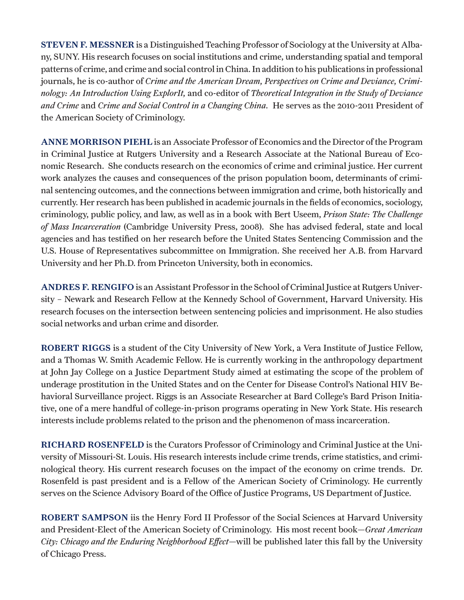STEVEN F. MESSNER is a Distinguished Teaching Professor of Sociology at the University at Albany, SUNY. His research focuses on social institutions and crime, understanding spatial and temporal patterns of crime, and crime and social control in China. In addition to his publications in professional journals, he is co-author of *Crime and the American Dream, Perspectives on Crime and Deviance, Criminology: An Introduction Using ExplorIt,* and co-editor of *Theoretical Integration in the Study of Deviance and Crime* and *Crime and Social Control in a Changing China.* He serves as the 2010-2011 President of the American Society of Criminology.

ANNE MORRISON PIEHL is an Associate Professor of Economics and the Director of the Program in Criminal Justice at Rutgers University and a Research Associate at the National Bureau of Economic Research. She conducts research on the economics of crime and criminal justice. Her current work analyzes the causes and consequences of the prison population boom, determinants of criminal sentencing outcomes, and the connections between immigration and crime, both historically and currently. Her research has been published in academic journals in the fields of economics, sociology, criminology, public policy, and law, as well as in a book with Bert Useem, *Prison State: The Challenge of Mass Incarceration* (Cambridge University Press, 2008). She has advised federal, state and local agencies and has testified on her research before the United States Sentencing Commission and the U.S. House of Representatives subcommittee on Immigration. She received her A.B. from Harvard University and her Ph.D. from Princeton University, both in economics.

ANDRES F. RENGIFO is an Assistant Professor in the School of Criminal Justice at Rutgers University – Newark and Research Fellow at the Kennedy School of Government, Harvard University. His research focuses on the intersection between sentencing policies and imprisonment. He also studies social networks and urban crime and disorder.

ROBERT RIGGS is a student of the City University of New York, a Vera Institute of Justice Fellow, and a Thomas W. Smith Academic Fellow. He is currently working in the anthropology department at John Jay College on a Justice Department Study aimed at estimating the scope of the problem of underage prostitution in the United States and on the Center for Disease Control's National HIV Behavioral Surveillance project. Riggs is an Associate Researcher at Bard College's Bard Prison Initiative, one of a mere handful of college-in-prison programs operating in New York State. His research interests include problems related to the prison and the phenomenon of mass incarceration.

RICHARD ROSENFELD is the Curators Professor of Criminology and Criminal Justice at the University of Missouri-St. Louis. His research interests include crime trends, crime statistics, and criminological theory. His current research focuses on the impact of the economy on crime trends. Dr. Rosenfeld is past president and is a Fellow of the American Society of Criminology. He currently serves on the Science Advisory Board of the Office of Justice Programs, US Department of Justice.

ROBERT SAMPSON iis the Henry Ford II Professor of the Social Sciences at Harvard University and President-Elect of the American Society of Criminology. His most recent book—*Great American City: Chicago and the Enduring Neighborhood Effect*—will be published later this fall by the University of Chicago Press.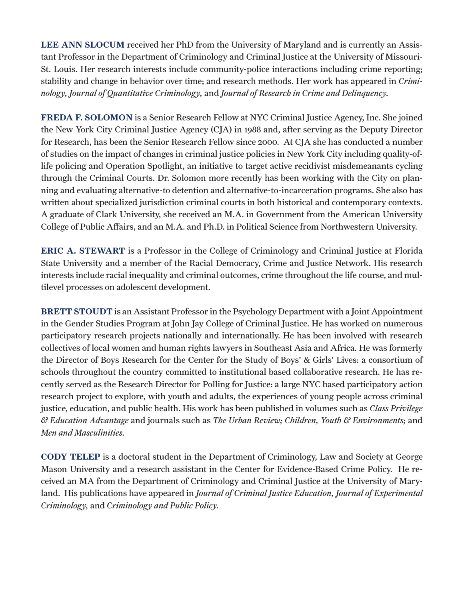LEE ANN SLOCUM received her PhD from the University of Maryland and is currently an Assistant Professor in the Department of Criminology and Criminal Justice at the University of Missouri-St. Louis. Her research interests include community-police interactions including crime reporting; stability and change in behavior over time; and research methods. Her work has appeared in *Criminology, Journal of Quantitative Criminology,* and *Journal of Research in Crime and Delinquency.*

FREDA F. SOLOMON is a Senior Research Fellow at NYC Criminal Justice Agency, Inc. She joined the New York City Criminal Justice Agency (CJA) in 1988 and, after serving as the Deputy Director for Research, has been the Senior Research Fellow since 2000. At CJA she has conducted a number of studies on the impact of changes in criminal justice policies in New York City including quality-oflife policing and Operation Spotlight, an initiative to target active recidivist misdemeanants cycling through the Criminal Courts. Dr. Solomon more recently has been working with the City on planning and evaluating alternative-to detention and alternative-to-incarceration programs. She also has written about specialized jurisdiction criminal courts in both historical and contemporary contexts. A graduate of Clark University, she received an M.A. in Government from the American University College of Public Affairs, and an M.A. and Ph.D. in Political Science from Northwestern University.

ERIC A. STEWART is a Professor in the College of Criminology and Criminal Justice at Florida State University and a member of the Racial Democracy, Crime and Justice Network. His research interests include racial inequality and criminal outcomes, crime throughout the life course, and multilevel processes on adolescent development.

BRETT STOUDT is an Assistant Professor in the Psychology Department with a Joint Appointment in the Gender Studies Program at John Jay College of Criminal Justice. He has worked on numerous participatory research projects nationally and internationally. He has been involved with research collectives of local women and human rights lawyers in Southeast Asia and Africa. He was formerly the Director of Boys Research for the Center for the Study of Boys' & Girls' Lives: a consortium of schools throughout the country committed to institutional based collaborative research. He has recently served as the Research Director for Polling for Justice: a large NYC based participatory action research project to explore, with youth and adults, the experiences of young people across criminal justice, education, and public health. His work has been published in volumes such as *Class Privilege & Education Advantage* and journals such as *The Urban Review; Children, Youth & Environments;* and *Men and Masculinities.*

CODY TELEP is a doctoral student in the Department of Criminology, Law and Society at George Mason University and a research assistant in the Center for Evidence-Based Crime Policy. He received an MA from the Department of Criminology and Criminal Justice at the University of Maryland. His publications have appeared in *Journal of Criminal Justice Education, Journal of Experimental Criminology,* and *Criminology and Public Policy.*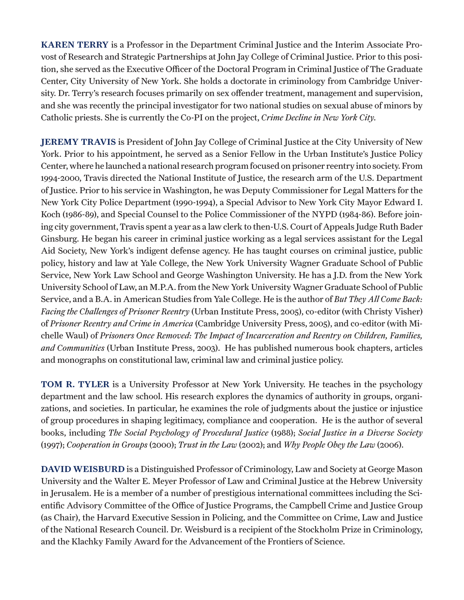KAREN TERRY is a Professor in the Department Criminal Justice and the Interim Associate Provost of Research and Strategic Partnerships at John Jay College of Criminal Justice. Prior to this position, she served as the Executive Officer of the Doctoral Program in Criminal Justice of The Graduate Center, City University of New York. She holds a doctorate in criminology from Cambridge University. Dr. Terry's research focuses primarily on sex offender treatment, management and supervision, and she was recently the principal investigator for two national studies on sexual abuse of minors by Catholic priests. She is currently the Co-PI on the project, *Crime Decline in New York City.*

JEREMY TRAVIS is President of John Jay College of Criminal Justice at the City University of New York. Prior to his appointment, he served as a Senior Fellow in the Urban Institute's Justice Policy Center, where he launched a national research program focused on prisoner reentry into society. From 1994-2000, Travis directed the National Institute of Justice, the research arm of the U.S. Department of Justice. Prior to his service in Washington, he was Deputy Commissioner for Legal Matters for the New York City Police Department (1990-1994), a Special Advisor to New York City Mayor Edward I. Koch (1986-89), and Special Counsel to the Police Commissioner of the NYPD (1984-86). Before joining city government, Travis spent a year as a law clerk to then-U.S. Court of Appeals Judge Ruth Bader Ginsburg. He began his career in criminal justice working as a legal services assistant for the Legal Aid Society, New York's indigent defense agency. He has taught courses on criminal justice, public policy, history and law at Yale College, the New York University Wagner Graduate School of Public Service, New York Law School and George Washington University. He has a J.D. from the New York University School of Law, an M.P.A. from the New York University Wagner Graduate School of Public Service, and a B.A. in American Studies from Yale College. He is the author of *But They All Come Back: Facing the Challenges of Prisoner Reentry* (Urban Institute Press, 2005), co-editor (with Christy Visher) of *Prisoner Reentry and Crime in America* (Cambridge University Press, 2005), and co-editor (with Michelle Waul) of *Prisoners Once Removed: The Impact of Incarceration and Reentry on Children, Families, and Communities* (Urban Institute Press, 2003). He has published numerous book chapters, articles and monographs on constitutional law, criminal law and criminal justice policy.

TOM R. TYLER is a University Professor at New York University. He teaches in the psychology department and the law school. His research explores the dynamics of authority in groups, organizations, and societies. In particular, he examines the role of judgments about the justice or injustice of group procedures in shaping legitimacy, compliance and cooperation. He is the author of several books, including *The Social Psychology of Procedural Justice* (1988); *Social Justice in a Diverse Society* (1997); *Cooperation in Groups* (2000); *Trust in the Law* (2002); and *Why People Obey the Law* (2006).

DAVID WEISBURD is a Distinguished Professor of Criminology, Law and Society at George Mason University and the Walter E. Meyer Professor of Law and Criminal Justice at the Hebrew University in Jerusalem. He is a member of a number of prestigious international committees including the Scientific Advisory Committee of the Office of Justice Programs, the Campbell Crime and Justice Group (as Chair), the Harvard Executive Session in Policing, and the Committee on Crime, Law and Justice of the National Research Council. Dr. Weisburd is a recipient of the Stockholm Prize in Criminology, and the Klachky Family Award for the Advancement of the Frontiers of Science.